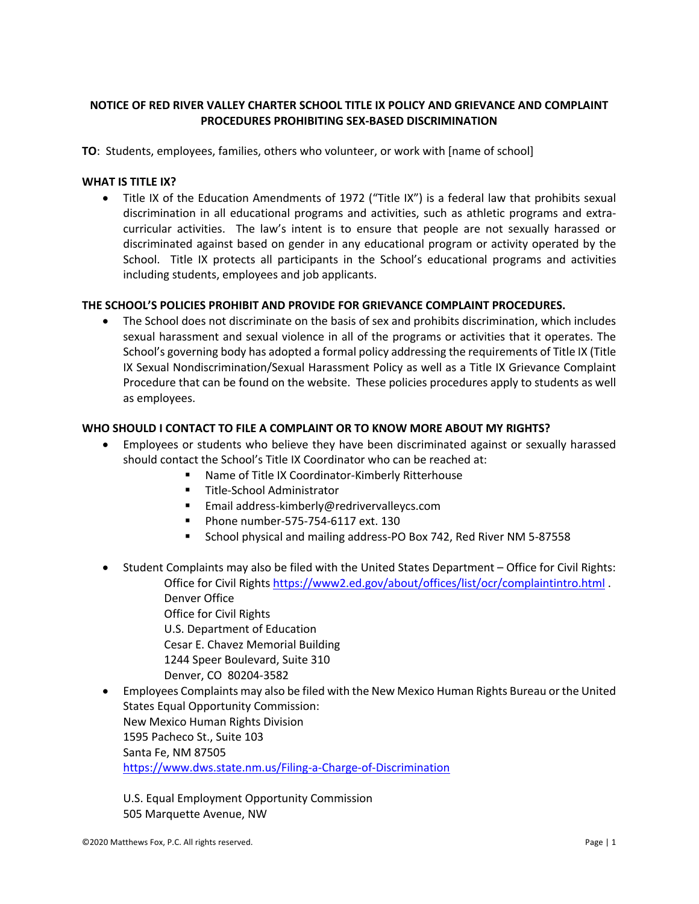# **NOTICE OF RED RIVER VALLEY CHARTER SCHOOL TITLE IX POLICY AND GRIEVANCE AND COMPLAINT PROCEDURES PROHIBITING SEX-BASED DISCRIMINATION**

**TO**: Students, employees, families, others who volunteer, or work with [name of school]

#### **WHAT IS TITLE IX?**

• Title IX of the Education Amendments of 1972 ("Title IX") is a federal law that prohibits sexual discrimination in all educational programs and activities, such as athletic programs and extracurricular activities. The law's intent is to ensure that people are not sexually harassed or discriminated against based on gender in any educational program or activity operated by the School. Title IX protects all participants in the School's educational programs and activities including students, employees and job applicants.

# **THE SCHOOL'S POLICIES PROHIBIT AND PROVIDE FOR GRIEVANCE COMPLAINT PROCEDURES.**

• The School does not discriminate on the basis of sex and prohibits discrimination, which includes sexual harassment and sexual violence in all of the programs or activities that it operates. The School's governing body has adopted a formal policy addressing the requirements of Title IX (Title IX Sexual Nondiscrimination/Sexual Harassment Policy as well as a Title IX Grievance Complaint Procedure that can be found on the website. These policies procedures apply to students as well as employees.

### **WHO SHOULD I CONTACT TO FILE A COMPLAINT OR TO KNOW MORE ABOUT MY RIGHTS?**

- Employees or students who believe they have been discriminated against or sexually harassed should contact the School's Title IX Coordinator who can be reached at:
	- § Name of Title IX Coordinator-Kimberly Ritterhouse
	- Title-School Administrator
	- Email address-kimberly@redrivervalleycs.com
	- § Phone number-575-754-6117 ext. 130
	- § School physical and mailing address-PO Box 742, Red River NM 5-87558
- Student Complaints may also be filed with the United States Department Office for Civil Rights: Office for Civil Rights https://www2.ed.gov/about/offices/list/ocr/complaintintro.html . Denver Office Office for Civil Rights U.S. Department of Education Cesar E. Chavez Memorial Building 1244 Speer Boulevard, Suite 310 Denver, CO 80204-3582
- Employees Complaints may also be filed with the New Mexico Human Rights Bureau or the United States Equal Opportunity Commission: New Mexico Human Rights Division 1595 Pacheco St., Suite 103 Santa Fe, NM 87505 https://www.dws.state.nm.us/Filing-a-Charge-of-Discrimination
	- U.S. Equal Employment Opportunity Commission 505 Marquette Avenue, NW